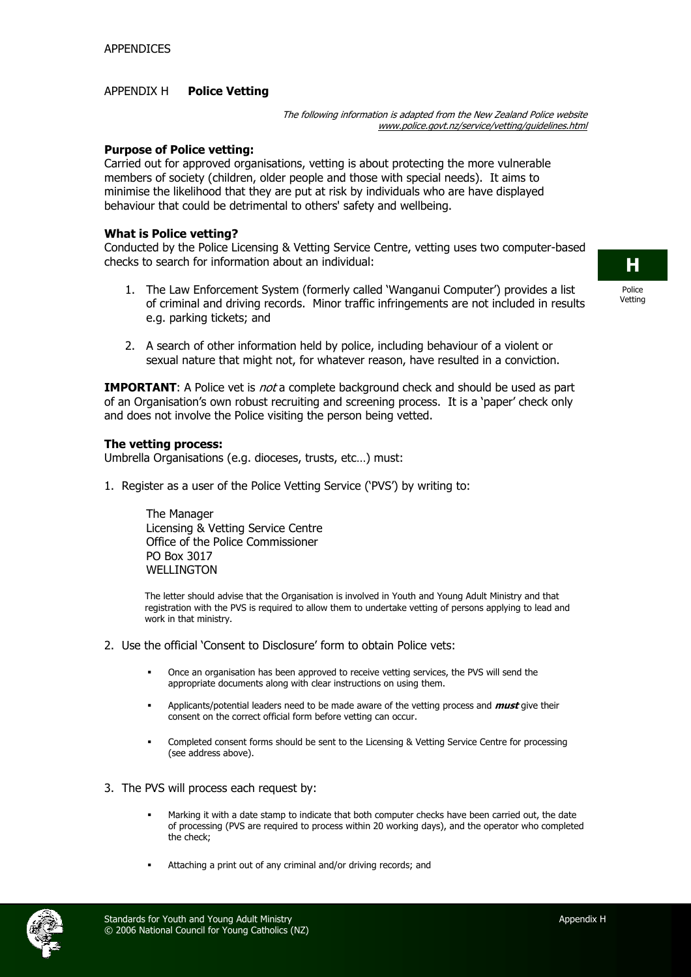### APPENDIX H **Police Vetting**

The following information is adapted from the New Zealand Police website www.police.govt.nz/service/vetting/guidelines.html

#### **Purpose of Police vetting:**

Carried out for approved organisations, vetting is about protecting the more vulnerable members of society (children, older people and those with special needs). It aims to minimise the likelihood that they are put at risk by individuals who are have displayed behaviour that could be detrimental to others' safety and wellbeing.

#### **What is Police vetting?**

Conducted by the Police Licensing & Vetting Service Centre, vetting uses two computer-based checks to search for information about an individual:

- 1. The Law Enforcement System (formerly called 'Wanganui Computer') provides a list of criminal and driving records. Minor traffic infringements are not included in results e.g. parking tickets; and
- 2. A search of other information held by police, including behaviour of a violent or sexual nature that might not, for whatever reason, have resulted in a conviction.

**IMPORTANT:** A Police vet is *not* a complete background check and should be used as part of an Organisation's own robust recruiting and screening process. It is a 'paper' check only and does not involve the Police visiting the person being vetted.

#### **The vetting process:**

Umbrella Organisations (e.g. dioceses, trusts, etc…) must:

1. Register as a user of the Police Vetting Service ('PVS') by writing to:

The Manager Licensing & Vetting Service Centre Office of the Police Commissioner PO Box 3017 WELL INGTON

The letter should advise that the Organisation is involved in Youth and Young Adult Ministry and that registration with the PVS is required to allow them to undertake vetting of persons applying to lead and work in that ministry.

- 2. Use the official 'Consent to Disclosure' form to obtain Police vets:
	- Once an organisation has been approved to receive vetting services, the PVS will send the appropriate documents along with clear instructions on using them.
	- Applicants/potential leaders need to be made aware of the vetting process and **must** give their consent on the correct official form before vetting can occur.
	- Completed consent forms should be sent to the Licensing & Vetting Service Centre for processing (see address above).
- 3. The PVS will process each request by:
	- Marking it with a date stamp to indicate that both computer checks have been carried out, the date of processing (PVS are required to process within 20 working days), and the operator who completed the check;
	- Attaching a print out of any criminal and/or driving records; and



**H**

Police Vetting